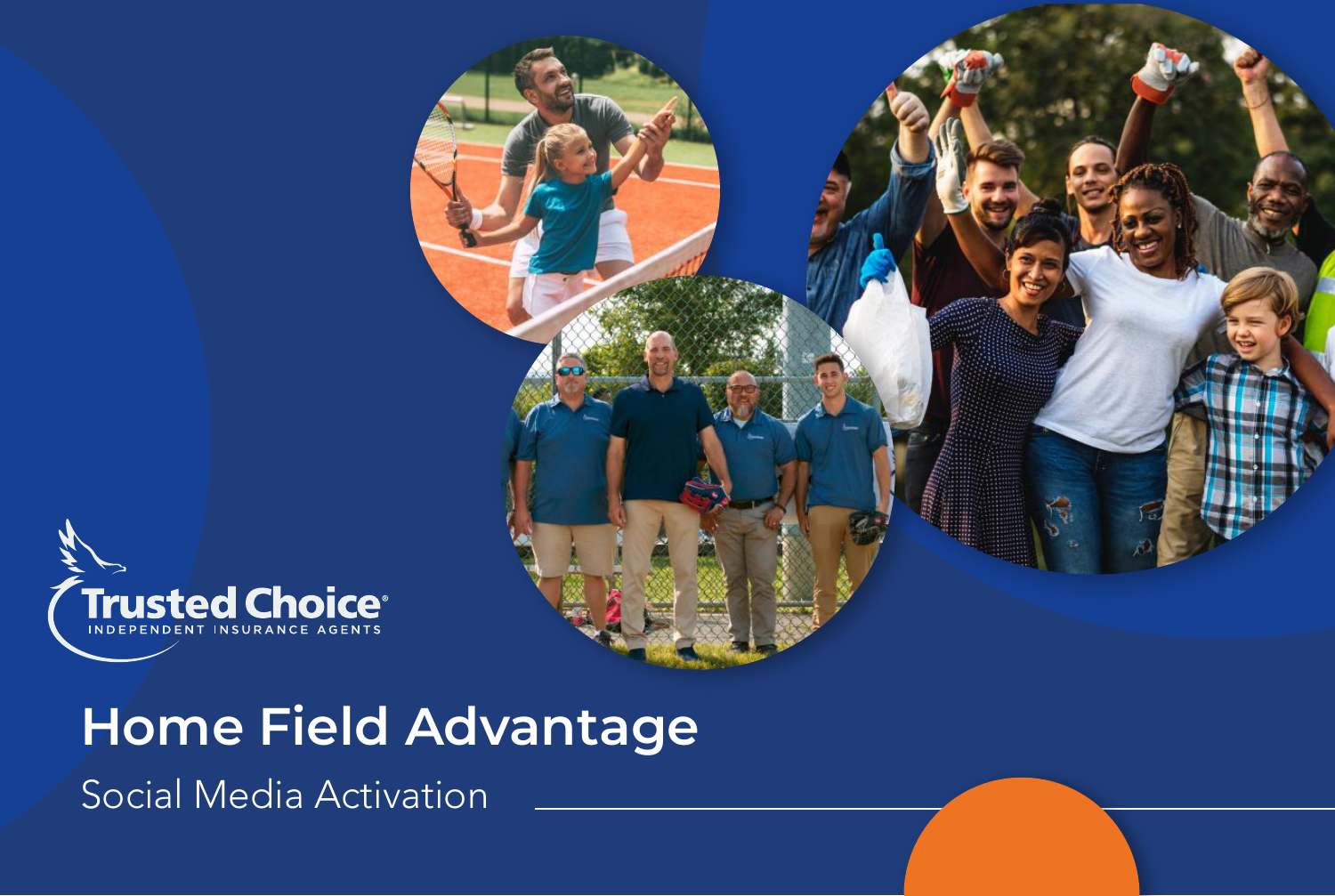

# **Home Field Advantage**

Social Media Activation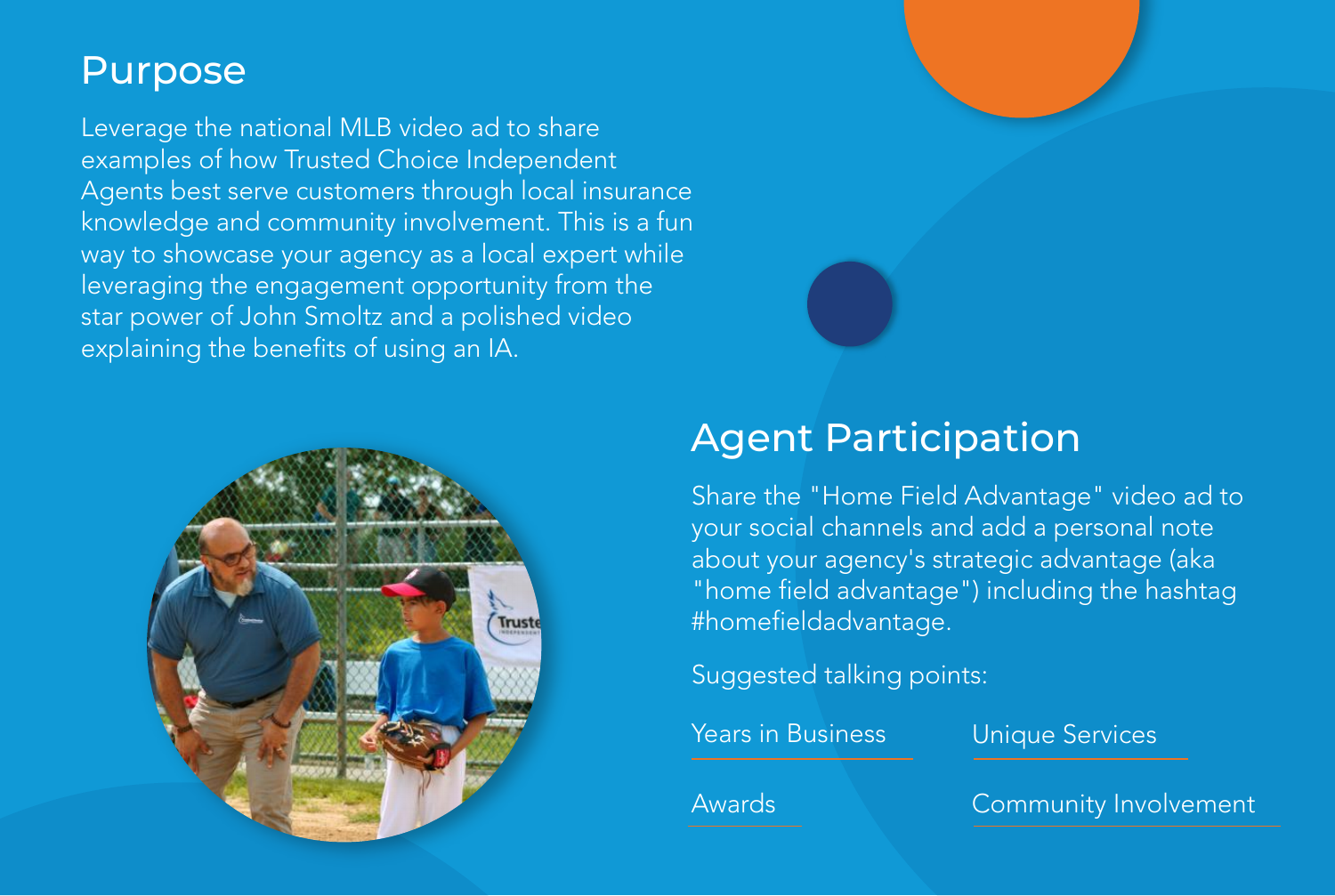### **Purpose**

Leverage the national MLB video ad to share examples of how Trusted Choice Independent Agents best serve customers through local insurance knowledge and community involvement. This is a fun way to showcase your agency as a local expert while leveraging the engagement opportunity from the star power of John Smoltz and a polished video explaining the benefits of using an IA.



# Agent Participation

Share the "Home Field Advantage" video ad to your social channels and add a personal note about your agency's strategic advantage (aka "home field advantage") including the hashtag #homefieldadvantage.

Suggested talking points:

Years in Business Unique Services

Awards **Community Involvement**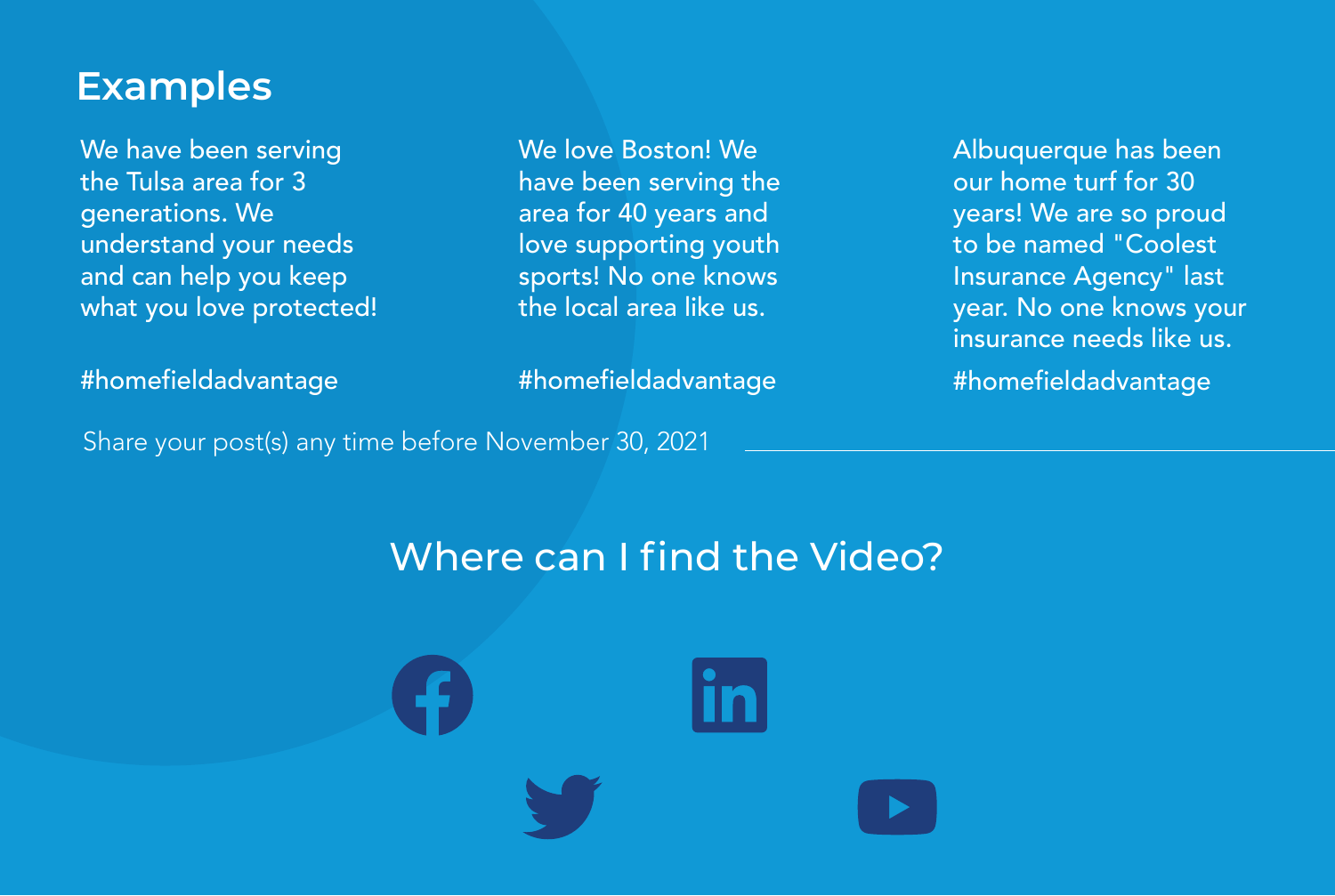### **Examples**

We have been serving the Tulsa area for 3 generations. We understand your needs and can help you keep what you love protected!

area for 40 years and love supporting youth sports! No one knows the local area like us.

#homefieldadvantage

#homefieldadvantage

We love Boston! We have been serving the

Share your post(s) any time before November 30, 2021

Albuquerque has been our home turf for 30 years! We are so proud to be named "Coolest Insurance Agency" last year. No one knows your insurance needs like us. #homefieldadvantage

Where can I find the Video?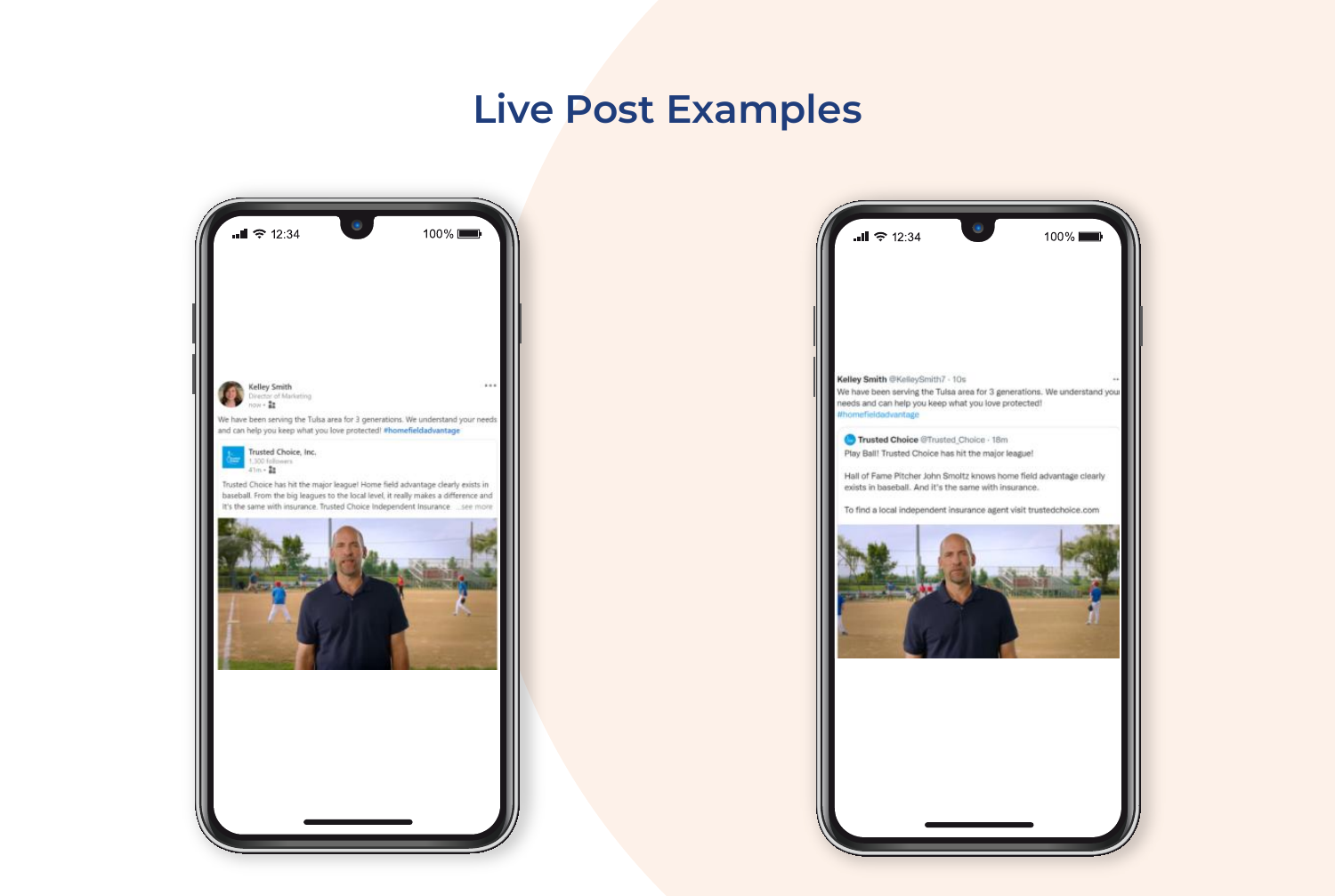## **Live Post Examples**

| $\bullet$<br>$III \approx 12:34$                                                                                                                                                                                                                                                                             | 100% |
|--------------------------------------------------------------------------------------------------------------------------------------------------------------------------------------------------------------------------------------------------------------------------------------------------------------|------|
| Kelley Smith<br>Director of Marketing<br>now + $\frac{a}{44}$<br>We have been serving the Tulsa area for 3 generations. We understand your needs<br>and can help you keep what you love protected! #homefieldadvantage                                                                                       |      |
| Trusted Choice, Inc.<br>1,300 followers<br>41m · 翻<br>Trusted Choice has hit the major league! Home field advantage clearly exists in<br>baseball. From the big leagues to the local level, it really makes a difference and<br>It's the same with insurance. Trusted Choice Independent Insurance  see more |      |
|                                                                                                                                                                                                                                                                                                              |      |